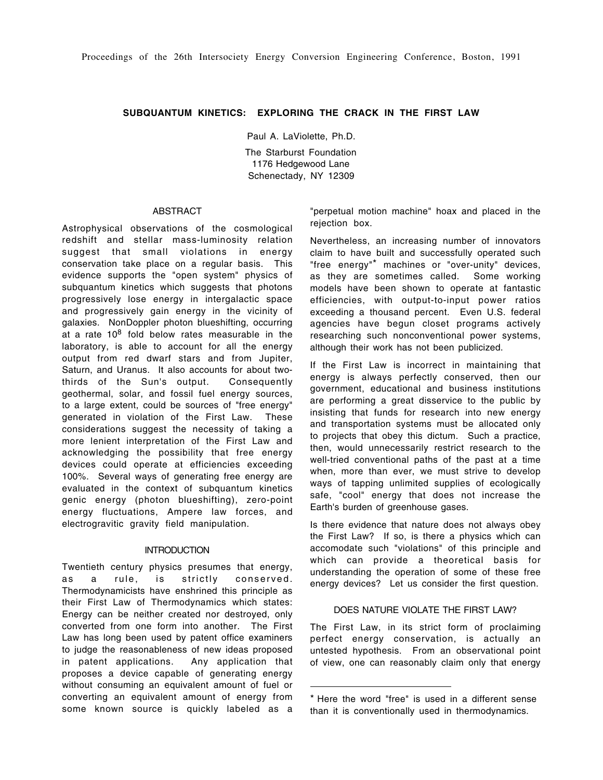## **SUBQUANTUM KINETICS: EXPLORING THE CRACK IN THE FIRST LAW**

Paul A. LaViolette, Ph.D.

The Starburst Foundation 1176 Hedgewood Lane Schenectady, NY 12309

### ABSTRACT

Astrophysical observations of the cosmological redshift and stellar mass-luminosity relation suggest that small violations in energy conservation take place on a regular basis. This evidence supports the "open system" physics of subquantum kinetics which suggests that photons progressively lose energy in intergalactic space and progressively gain energy in the vicinity of galaxies. NonDoppler photon blueshifting, occurring at a rate  $10^8$  fold below rates measurable in the laboratory, is able to account for all the energy output from red dwarf stars and from Jupiter, Saturn, and Uranus. It also accounts for about twothirds of the Sun's output. Consequently geothermal, solar, and fossil fuel energy sources, to a large extent, could be sources of "free energy" generated in violation of the First Law. These considerations suggest the necessity of taking a more lenient interpretation of the First Law and acknowledging the possibility that free energy devices could operate at efficiencies exceeding 100%. Several ways of generating free energy are evaluated in the context of subquantum kinetics genic energy (photon blueshifting), zero-point energy fluctuations, Ampere law forces, and electrogravitic gravity field manipulation.

### **INTRODUCTION**

Twentieth century physics presumes that energy, as a rule, is strictly conserved. Thermodynamicists have enshrined this principle as their First Law of Thermodynamics which states: Energy can be neither created nor destroyed, only converted from one form into another. The First Law has long been used by patent office examiners to judge the reasonableness of new ideas proposed in patent applications. Any application that proposes a device capable of generating energy without consuming an equivalent amount of fuel or converting an equivalent amount of energy from some known source is quickly labeled as a

"perpetual motion machine" hoax and placed in the rejection box.

Nevertheless, an increasing number of innovators claim to have built and successfully operated such "free energy"\* machines or "over-unity" devices, as they are sometimes called. Some working models have been shown to operate at fantastic efficiencies, with output-to-input power ratios exceeding a thousand percent. Even U.S. federal agencies have begun closet programs actively researching such nonconventional power systems, although their work has not been publicized.

If the First Law is incorrect in maintaining that energy is always perfectly conserved, then our government, educational and business institutions are performing a great disservice to the public by insisting that funds for research into new energy and transportation systems must be allocated only to projects that obey this dictum. Such a practice, then, would unnecessarily restrict research to the well-tried conventional paths of the past at a time when, more than ever, we must strive to develop ways of tapping unlimited supplies of ecologically safe, "cool" energy that does not increase the Earth's burden of greenhouse gases.

Is there evidence that nature does not always obey the First Law? If so, is there a physics which can accomodate such "violations" of this principle and which can provide a theoretical basis for understanding the operation of some of these free energy devices? Let us consider the first question.

#### DOES NATURE VIOLATE THE FIRST LAW?

The First Law, in its strict form of proclaiming perfect energy conservation, is actually an untested hypothesis. From an observational point of view, one can reasonably claim only that energy

<sup>\*</sup> Here the word "free" is used in a different sense than it is conventionally used in thermodynamics.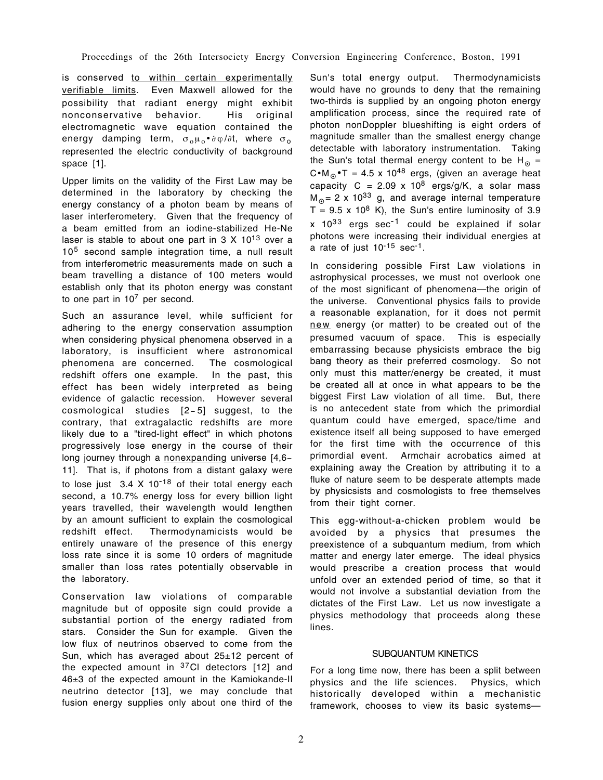Proceedings of the 26th Intersociety Energy Conversion Engineering Conference, Boston, 1991

is conserved to within certain experimentally verifiable limits. Even Maxwell allowed for the possibility that radiant energy might exhibit nonconservative behavior. His original electromagnetic wave equation contained the energy damping term,  $\sigma_0 \mu_0 \cdot \partial \varphi / \partial t$ , where  $\sigma_0$ represented the electric conductivity of background space [1].

Upper limits on the validity of the First Law may be determined in the laboratory by checking the energy constancy of a photon beam by means of laser interferometery. Given that the frequency of a beam emitted from an iodine-stabilized He-Ne laser is stable to about one part in  $3 \times 10^{13}$  over a 10<sup>5</sup> second sample integration time, a null result from interferometric measurements made on such a beam travelling a distance of 100 meters would establish only that its photon energy was constant to one part in  $10<sup>7</sup>$  per second.

Such an assurance level, while sufficient for adhering to the energy conservation assumption when considering physical phenomena observed in a laboratory, is insufficient where astronomical phenomena are concerned. The cosmological redshift offers one example. In the past, this effect has been widely interpreted as being evidence of galactic recession. However several cosmological studies [2- 5] suggest, to the contrary, that extragalactic redshifts are more likely due to a "tired-light effect" in which photons progressively lose energy in the course of their long journey through a nonexpanding universe [4,6- 11]. That is, if photons from a distant galaxy were to lose just  $3.4 \times 10^{-18}$  of their total energy each second, a 10.7% energy loss for every billion light years travelled, their wavelength would lengthen by an amount sufficient to explain the cosmological redshift effect. Thermodynamicists would be entirely unaware of the presence of this energy loss rate since it is some 10 orders of magnitude smaller than loss rates potentially observable in the laboratory.

Conservation law violations of comparable magnitude but of opposite sign could provide a substantial portion of the energy radiated from stars. Consider the Sun for example. Given the low flux of neutrinos observed to come from the Sun, which has averaged about 25±12 percent of the expected amount in  $37$ Cl detectors [12] and 46±3 of the expected amount in the Kamiokande-II neutrino detector [13], we may conclude that fusion energy supplies only about one third of the

Sun's total energy output. Thermodynamicists would have no grounds to deny that the remaining two-thirds is supplied by an ongoing photon energy amplification process, since the required rate of photon nonDoppler blueshifting is eight orders of magnitude smaller than the smallest energy change detectable with laboratory instrumentation. Taking the Sun's total thermal energy content to be  $H_0 =$ C•M<sub>o</sub>•T = 4.5 x 10<sup>48</sup> ergs, (given an average heat capacity  $C = 2.09 \times 10^8$  ergs/g/K, a solar mass  $M_{\odot}$  = 2 x 10<sup>33</sup> g, and average internal temperature  $T = 9.5 \times 10^8$  K), the Sun's entire luminosity of 3.9  $x$  10<sup>33</sup> ergs sec<sup>-1</sup> could be explained if solar photons were increasing their individual energies at a rate of just  $10^{-15}$  sec<sup>-1</sup>.

In considering possible First Law violations in astrophysical processes, we must not overlook one of the most significant of phenomena—the origin of the universe. Conventional physics fails to provide a reasonable explanation, for it does not permit new energy (or matter) to be created out of the presumed vacuum of space. This is especially embarrassing because physicists embrace the big bang theory as their preferred cosmology. So not only must this matter/energy be created, it must be created all at once in what appears to be the biggest First Law violation of all time. But, there is no antecedent state from which the primordial quantum could have emerged, space/time and existence itself all being supposed to have emerged for the first time with the occurrence of this primordial event. Armchair acrobatics aimed at explaining away the Creation by attributing it to a fluke of nature seem to be desperate attempts made by physicsists and cosmologists to free themselves from their tight corner.

This egg-without-a-chicken problem would be avoided by a physics that presumes the preexistence of a subquantum medium, from which matter and energy later emerge. The ideal physics would prescribe a creation process that would unfold over an extended period of time, so that it would not involve a substantial deviation from the dictates of the First Law. Let us now investigate a physics methodology that proceeds along these lines.

# SUBQUANTUM KINETICS

For a long time now, there has been a split between physics and the life sciences. Physics, which historically developed within a mechanistic framework, chooses to view its basic systems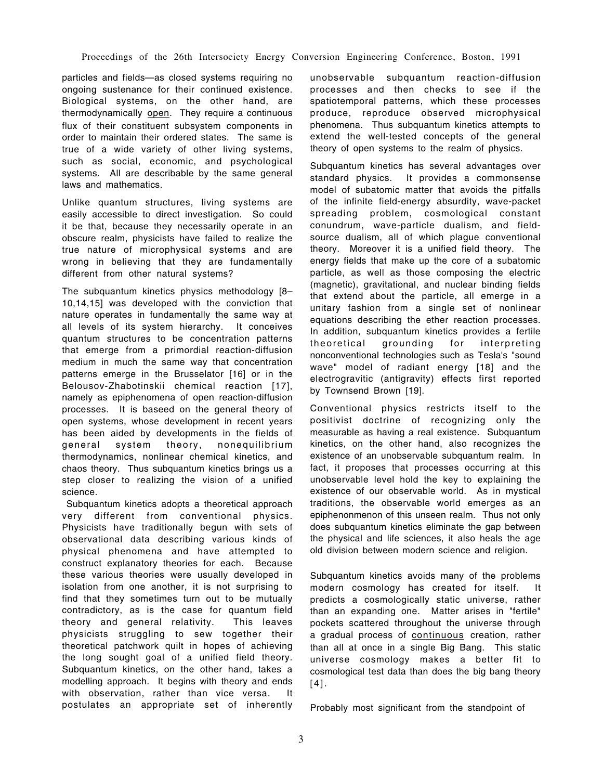particles and fields—as closed systems requiring no ongoing sustenance for their continued existence. Biological systems, on the other hand, are thermodynamically open. They require a continuous flux of their constituent subsystem components in order to maintain their ordered states. The same is true of a wide variety of other living systems, such as social, economic, and psychological systems. All are describable by the same general laws and mathematics.

Unlike quantum structures, living systems are easily accessible to direct investigation. So could it be that, because they necessarily operate in an obscure realm, physicists have failed to realize the true nature of microphysical systems and are wrong in believing that they are fundamentally different from other natural systems?

The subquantum kinetics physics methodology [8– 10,14,15] was developed with the conviction that nature operates in fundamentally the same way at all levels of its system hierarchy. It conceives quantum structures to be concentration patterns that emerge from a primordial reaction-diffusion medium in much the same way that concentration patterns emerge in the Brusselator [16] or in the Belousov-Zhabotinskii chemical reaction [17], namely as epiphenomena of open reaction-diffusion processes. It is baseed on the general theory of open systems, whose development in recent years has been aided by developments in the fields of general system theory, nonequilibrium thermodynamics, nonlinear chemical kinetics, and chaos theory. Thus subquantum kinetics brings us a step closer to realizing the vision of a unified science.

 Subquantum kinetics adopts a theoretical approach very different from conventional physics. Physicists have traditionally begun with sets of observational data describing various kinds of physical phenomena and have attempted to construct explanatory theories for each. Because these various theories were usually developed in isolation from one another, it is not surprising to find that they sometimes turn out to be mutually contradictory, as is the case for quantum field theory and general relativity. This leaves physicists struggling to sew together their theoretical patchwork quilt in hopes of achieving the long sought goal of a unified field theory. Subquantum kinetics, on the other hand, takes a modelling approach. It begins with theory and ends with observation, rather than vice versa. It postulates an appropriate set of inherently unobservable subquantum reaction-diffusion processes and then checks to see if the spatiotemporal patterns, which these processes produce, reproduce observed microphysical phenomena. Thus subquantum kinetics attempts to extend the well-tested concepts of the general theory of open systems to the realm of physics.

Subquantum kinetics has several advantages over standard physics. It provides a commonsense model of subatomic matter that avoids the pitfalls of the infinite field-energy absurdity, wave-packet spreading problem, cosmological constant conundrum, wave-particle dualism, and fieldsource dualism, all of which plague conventional theory. Moreover it is a unified field theory. The energy fields that make up the core of a subatomic particle, as well as those composing the electric (magnetic), gravitational, and nuclear binding fields that extend about the particle, all emerge in a unitary fashion from a single set of nonlinear equations describing the ether reaction processes. In addition, subquantum kinetics provides a fertile theoretical grounding for interpreting nonconventional technologies such as Tesla's "sound wave" model of radiant energy [18] and the electrogravitic (antigravity) effects first reported by Townsend Brown [19].

Conventional physics restricts itself to the positivist doctrine of recognizing only the measurable as having a real existence. Subquantum kinetics, on the other hand, also recognizes the existence of an unobservable subquantum realm. In fact, it proposes that processes occurring at this unobservable level hold the key to explaining the existence of our observable world. As in mystical traditions, the observable world emerges as an epiphenonmenon of this unseen realm. Thus not only does subquantum kinetics eliminate the gap between the physical and life sciences, it also heals the age old division between modern science and religion.

Subquantum kinetics avoids many of the problems modern cosmology has created for itself. It predicts a cosmologically static universe, rather than an expanding one. Matter arises in "fertile" pockets scattered throughout the universe through a gradual process of continuous creation, rather than all at once in a single Big Bang. This static universe cosmology makes a better fit to cosmological test data than does the big bang theory [4].

Probably most significant from the standpoint of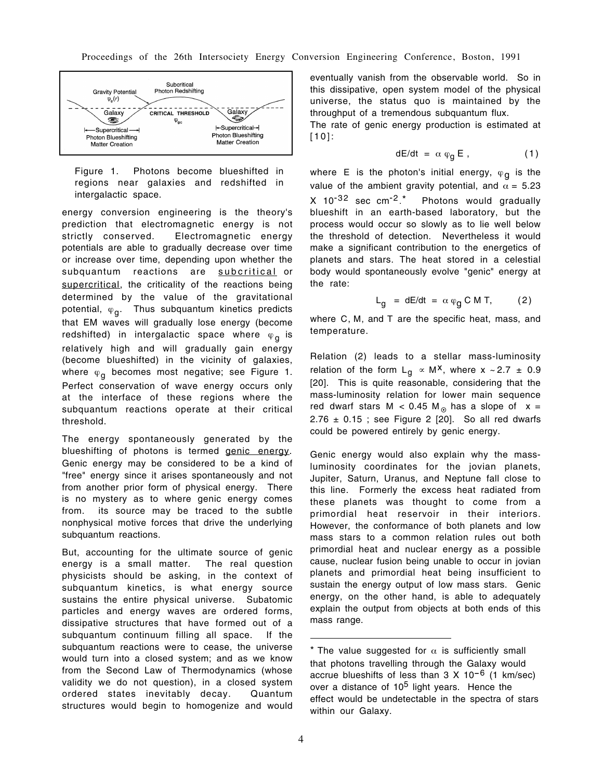

Figure 1. Photons become blueshifted in regions near galaxies and redshifted in intergalactic space.

energy conversion engineering is the theory's prediction that electromagnetic energy is not strictly conserved. Electromagnetic energy potentials are able to gradually decrease over time or increase over time, depending upon whether the subquantum reactions are subcritical or supercritical, the criticality of the reactions being determined by the value of the gravitational potential,  $\varphi_{g}$ . Thus subquantum kinetics predicts that EM waves will gradually lose energy (become redshifted) in intergalactic space where  $\varphi_{q}$  is relatively high and will gradually gain energy (become blueshifted) in the vicinity of galaxies, where  $\varphi_{q}$  becomes most negative; see Figure 1. Perfect conservation of wave energy occurs only at the interface of these regions where the subquantum reactions operate at their critical threshold.

The energy spontaneously generated by the blueshifting of photons is termed genic energy. Genic energy may be considered to be a kind of "free" energy since it arises spontaneously and not from another prior form of physical energy. There is no mystery as to where genic energy comes from. its source may be traced to the subtle nonphysical motive forces that drive the underlying subquantum reactions.

But, accounting for the ultimate source of genic energy is a small matter. The real question physicists should be asking, in the context of subquantum kinetics, is what energy source sustains the entire physical universe. Subatomic particles and energy waves are ordered forms, dissipative structures that have formed out of a subquantum continuum filling all space. If the subquantum reactions were to cease, the universe would turn into a closed system; and as we know from the Second Law of Thermodynamics (whose validity we do not question), in a closed system ordered states inevitably decay. Quantum structures would begin to homogenize and would eventually vanish from the observable world. So in this dissipative, open system model of the physical universe, the status quo is maintained by the throughput of a tremendous subquantum flux.

The rate of genic energy production is estimated at [10]:

$$
dE/dt = \alpha \varphi_g E , \qquad (1)
$$

where E is the photon's initial energy,  $\varphi_{\mathbf{q}}$  is the value of the ambient gravity potential, and  $\alpha = 5.23$  $X$  10<sup>-32</sup> sec cm<sup>-2\*</sup> Photons would gradually blueshift in an earth-based laboratory, but the process would occur so slowly as to lie well below the threshold of detection. Nevertheless it would make a significant contribution to the energetics of planets and stars. The heat stored in a celestial body would spontaneously evolve "genic" energy at the rate:

$$
L_g = dE/dt = \alpha \varphi_g CM T, \qquad (2)
$$

where C, M, and T are the specific heat, mass, and temperature.

Relation (2) leads to a stellar mass-luminosity relation of the form L<sub>q</sub>  $\propto$  M<sup>x</sup>, where x ~ 2.7 ± 0.9 [20]. This is quite reasonable, considering that the mass-luminosity relation for lower main sequence red dwarf stars M <  $0.45$  M<sub>o</sub> has a slope of x =  $2.76 \pm 0.15$ ; see Figure 2 [20]. So all red dwarfs could be powered entirely by genic energy.

Genic energy would also explain why the massluminosity coordinates for the jovian planets, Jupiter, Saturn, Uranus, and Neptune fall close to this line. Formerly the excess heat radiated from these planets was thought to come from a primordial heat reservoir in their interiors. However, the conformance of both planets and low mass stars to a common relation rules out both primordial heat and nuclear energy as a possible cause, nuclear fusion being unable to occur in jovian planets and primordial heat being insufficient to sustain the energy output of low mass stars. Genic energy, on the other hand, is able to adequately explain the output from objects at both ends of this mass range.

<sup>\*</sup> The value suggested for  $\alpha$  is sufficiently small that photons travelling through the Galaxy would accrue blueshifts of less than  $3 \times 10^{-6}$  (1 km/sec) over a distance of 10<sup>5</sup> light years. Hence the effect would be undetectable in the spectra of stars within our Galaxy.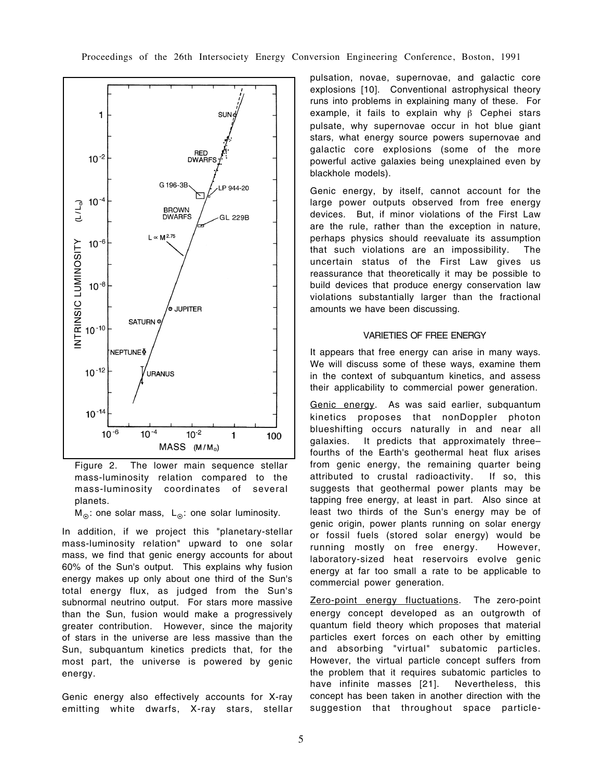

Figure 2. The lower main sequence stellar mass-luminosity relation compared to the mass-luminosity coordinates of several planets.

 $M_{\odot}$ : one solar mass, L<sub>o</sub>: one solar luminosity.

In addition, if we project this "planetary-stellar mass-luminosity relation" upward to one solar mass, we find that genic energy accounts for about 60% of the Sun's output. This explains why fusion energy makes up only about one third of the Sun's total energy flux, as judged from the Sun's subnormal neutrino output. For stars more massive than the Sun, fusion would make a progressively greater contribution. However, since the majority of stars in the universe are less massive than the Sun, subquantum kinetics predicts that, for the most part, the universe is powered by genic energy.

Genic energy also effectively accounts for X-ray emitting white dwarfs, X-ray stars, stellar pulsation, novae, supernovae, and galactic core explosions [10]. Conventional astrophysical theory runs into problems in explaining many of these. For example, it fails to explain why β Cephei stars pulsate, why supernovae occur in hot blue giant stars, what energy source powers supernovae and galactic core explosions (some of the more powerful active galaxies being unexplained even by blackhole models).

Genic energy, by itself, cannot account for the large power outputs observed from free energy devices. But, if minor violations of the First Law are the rule, rather than the exception in nature, perhaps physics should reevaluate its assumption that such violations are an impossibility. The uncertain status of the First Law gives us reassurance that theoretically it may be possible to build devices that produce energy conservation law violations substantially larger than the fractional amounts we have been discussing.

## VARIETIES OF FREE ENERGY

It appears that free energy can arise in many ways. We will discuss some of these ways, examine them in the context of subquantum kinetics, and assess their applicability to commercial power generation.

Genic energy. As was said earlier, subquantum kinetics proposes that nonDoppler photon blueshifting occurs naturally in and near all galaxies. It predicts that approximately three– fourths of the Earth's geothermal heat flux arises from genic energy, the remaining quarter being attributed to crustal radioactivity. If so, this suggests that geothermal power plants may be tapping free energy, at least in part. Also since at least two thirds of the Sun's energy may be of genic origin, power plants running on solar energy or fossil fuels (stored solar energy) would be running mostly on free energy. However, laboratory-sized heat reservoirs evolve genic energy at far too small a rate to be applicable to commercial power generation.

Zero-point energy fluctuations. The zero-point energy concept developed as an outgrowth of quantum field theory which proposes that material particles exert forces on each other by emitting and absorbing "virtual" subatomic particles. However, the virtual particle concept suffers from the problem that it requires subatomic particles to have infinite masses [21]. Nevertheless, this concept has been taken in another direction with the suggestion that throughout space particle-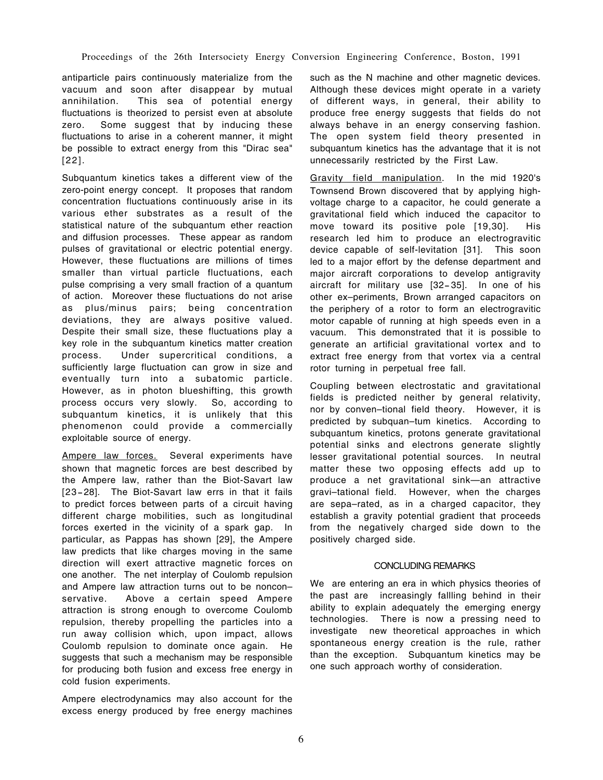antiparticle pairs continuously materialize from the vacuum and soon after disappear by mutual annihilation. This sea of potential energy fluctuations is theorized to persist even at absolute zero. Some suggest that by inducing these fluctuations to arise in a coherent manner, it might be possible to extract energy from this "Dirac sea" [22].

Subquantum kinetics takes a different view of the zero-point energy concept. It proposes that random concentration fluctuations continuously arise in its various ether substrates as a result of the statistical nature of the subquantum ether reaction and diffusion processes. These appear as random pulses of gravitational or electric potential energy. However, these fluctuations are millions of times smaller than virtual particle fluctuations, each pulse comprising a very small fraction of a quantum of action. Moreover these fluctuations do not arise as plus/minus pairs; being concentration deviations, they are always positive valued. Despite their small size, these fluctuations play a key role in the subquantum kinetics matter creation process. Under supercritical conditions, a sufficiently large fluctuation can grow in size and eventually turn into a subatomic particle. However, as in photon blueshifting, this growth process occurs very slowly. So, according to subquantum kinetics, it is unlikely that this phenomenon could provide a commercially exploitable source of energy.

Ampere law forces. Several experiments have shown that magnetic forces are best described by the Ampere law, rather than the Biot-Savart law [23-28]. The Biot-Savart law errs in that it fails to predict forces between parts of a circuit having different charge mobilities, such as longitudinal forces exerted in the vicinity of a spark gap. In particular, as Pappas has shown [29], the Ampere law predicts that like charges moving in the same direction will exert attractive magnetic forces on one another. The net interplay of Coulomb repulsion and Ampere law attraction turns out to be noncon– servative. Above a certain speed Ampere attraction is strong enough to overcome Coulomb repulsion, thereby propelling the particles into a run away collision which, upon impact, allows Coulomb repulsion to dominate once again. He suggests that such a mechanism may be responsible for producing both fusion and excess free energy in cold fusion experiments.

Ampere electrodynamics may also account for the excess energy produced by free energy machines

such as the N machine and other magnetic devices. Although these devices might operate in a variety of different ways, in general, their ability to produce free energy suggests that fields do not always behave in an energy conserving fashion. The open system field theory presented in subquantum kinetics has the advantage that it is not unnecessarily restricted by the First Law.

Gravity field manipulation. In the mid 1920's Townsend Brown discovered that by applying highvoltage charge to a capacitor, he could generate a gravitational field which induced the capacitor to move toward its positive pole [19,30]. His research led him to produce an electrogravitic device capable of self-levitation [31]. This soon led to a major effort by the defense department and major aircraft corporations to develop antigravity aircraft for military use [32- 35]. In one of his other ex–periments, Brown arranged capacitors on the periphery of a rotor to form an electrogravitic motor capable of running at high speeds even in a vacuum. This demonstrated that it is possible to generate an artificial gravitational vortex and to extract free energy from that vortex via a central rotor turning in perpetual free fall.

Coupling between electrostatic and gravitational fields is predicted neither by general relativity, nor by conven–tional field theory. However, it is predicted by subquan–tum kinetics. According to subquantum kinetics, protons generate gravitational potential sinks and electrons generate slightly lesser gravitational potential sources. In neutral matter these two opposing effects add up to produce a net gravitational sink—an attractive gravi–tational field. However, when the charges are sepa–rated, as in a charged capacitor, they establish a gravity potential gradient that proceeds from the negatively charged side down to the positively charged side.

# CONCLUDING REMARKS

We are entering an era in which physics theories of the past are increasingly fallling behind in their ability to explain adequately the emerging energy technologies. There is now a pressing need to investigate new theoretical approaches in which spontaneous energy creation is the rule, rather than the exception. Subquantum kinetics may be one such approach worthy of consideration.